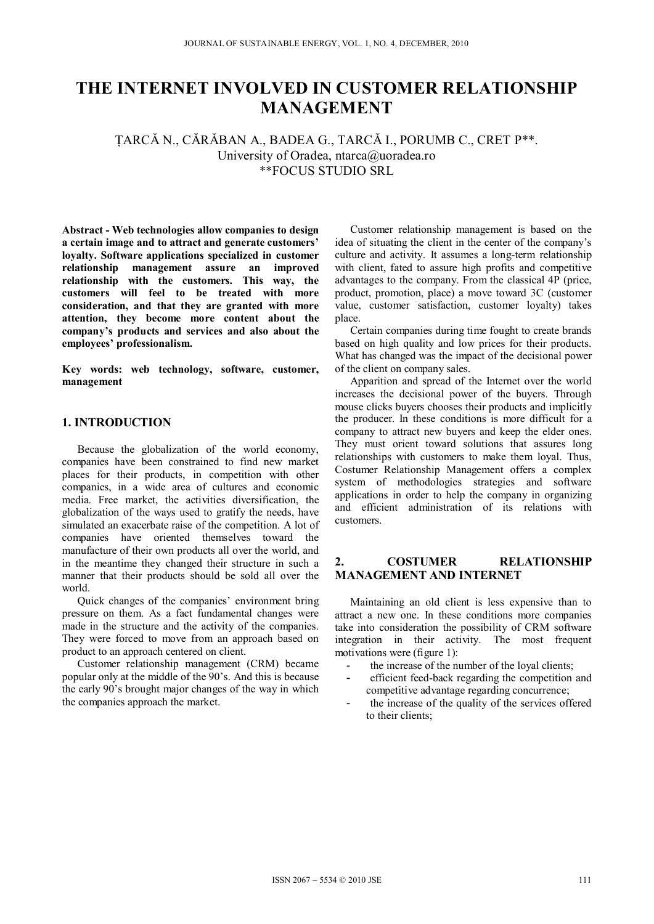# **THE INTERNET INVOLVED IN CUSTOMER RELATIONSHIP MANAGEMENT**

ŢARCĂ N., CĂRĂBAN A., BADEA G., TARCĂ I., PORUMB C., CRET P\*\*. University of Oradea, ntarca@uoradea.ro \*\*FOCUS STUDIO SRL

**Abstract - Web technologies allow companies to design a certain image and to attract and generate customers' loyalty. Software applications specialized in customer relationship management assure an improved relationship with the customers. This way, the customers will feel to be treated with more consideration, and that they are granted with more attention, they become more content about the company's products and services and also about the employees' professionalism.** 

**Key words: web technology, software, customer, management** 

#### **1. INTRODUCTION**

Because the globalization of the world economy, companies have been constrained to find new market places for their products, in competition with other companies, in a wide area of cultures and economic media. Free market, the activities diversification, the globalization of the ways used to gratify the needs, have simulated an exacerbate raise of the competition. A lot of companies have oriented themselves toward the manufacture of their own products all over the world, and in the meantime they changed their structure in such a manner that their products should be sold all over the world.

Quick changes of the companies' environment bring pressure on them. As a fact fundamental changes were made in the structure and the activity of the companies. They were forced to move from an approach based on product to an approach centered on client.

Customer relationship management (CRM) became popular only at the middle of the 90's. And this is because the early 90's brought major changes of the way in which the companies approach the market.

Customer relationship management is based on the idea of situating the client in the center of the company's culture and activity. It assumes a long-term relationship with client, fated to assure high profits and competitive advantages to the company. From the classical 4P (price, product, promotion, place) a move toward 3C (customer value, customer satisfaction, customer loyalty) takes place.

Certain companies during time fought to create brands based on high quality and low prices for their products. What has changed was the impact of the decisional power of the client on company sales.

Apparition and spread of the Internet over the world increases the decisional power of the buyers. Through mouse clicks buyers chooses their products and implicitly the producer. In these conditions is more difficult for a company to attract new buyers and keep the elder ones. They must orient toward solutions that assures long relationships with customers to make them loyal. Thus, Costumer Relationship Management offers a complex system of methodologies strategies and software applications in order to help the company in organizing and efficient administration of its relations with customers.

## **2. COSTUMER RELATIONSHIP MANAGEMENT AND INTERNET**

Maintaining an old client is less expensive than to attract a new one. In these conditions more companies take into consideration the possibility of CRM software integration in their activity. The most frequent motivations were (figure 1):

- the increase of the number of the loyal clients;
- efficient feed-back regarding the competition and competitive advantage regarding concurrence;
- the increase of the quality of the services offered to their clients;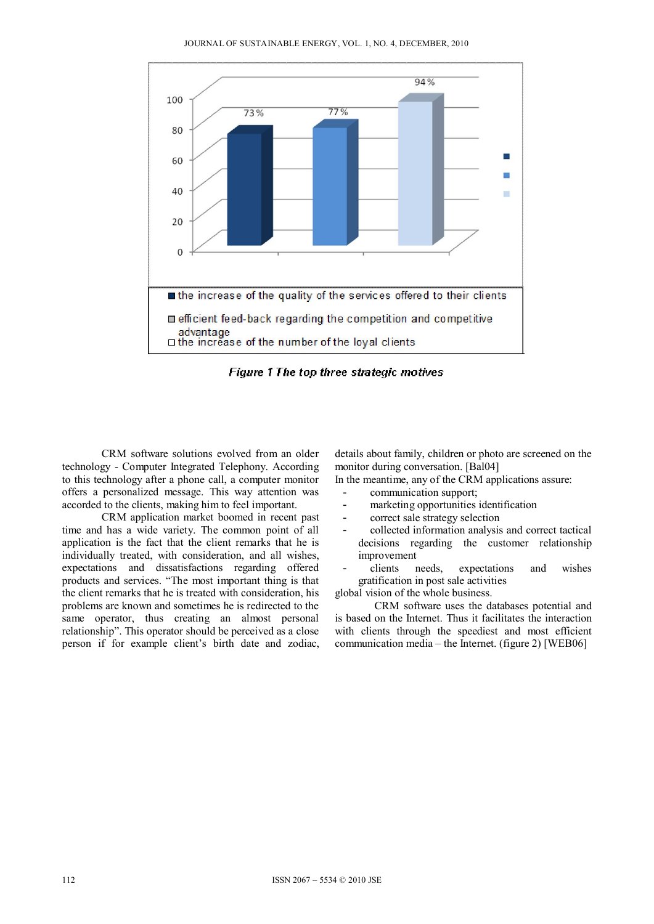

Figure 1 The top three strategic motives

CRM software solutions evolved from an older technology - Computer Integrated Telephony. According to this technology after a phone call, a computer monitor offers a personalized message. This way attention was accorded to the clients, making him to feel important.

CRM application market boomed in recent past time and has a wide variety. The common point of all application is the fact that the client remarks that he is individually treated, with consideration, and all wishes, expectations and dissatisfactions regarding offered products and services. "The most important thing is that the client remarks that he is treated with consideration, his problems are known and sometimes he is redirected to the same operator, thus creating an almost personal relationship". This operator should be perceived as a close person if for example client's birth date and zodiac, details about family, children or photo are screened on the monitor during conversation. [Bal04]

In the meantime, any of the CRM applications assure:

- communication support;
- marketing opportunities identification
- correct sale strategy selection
- collected information analysis and correct tactical decisions regarding the customer relationship improvement
- clients needs, expectations and wishes gratification in post sale activities

global vision of the whole business.

 CRM software uses the databases potential and is based on the Internet. Thus it facilitates the interaction with clients through the speediest and most efficient communication media – the Internet. (figure 2) [WEB06]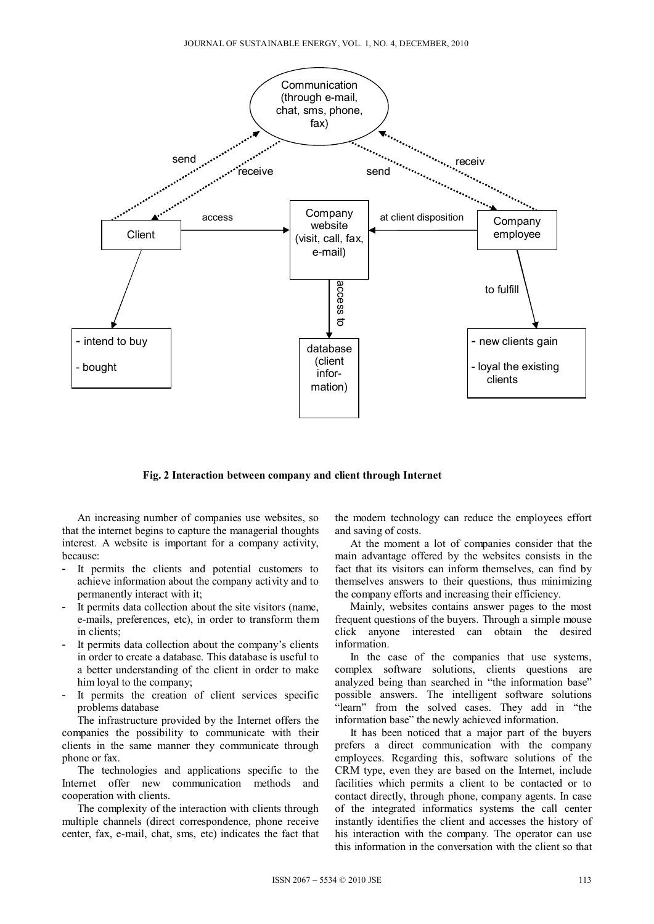

**Fig. 2 Interaction between company and client through Internet** 

An increasing number of companies use websites, so that the internet begins to capture the managerial thoughts interest. A website is important for a company activity, because:

- It permits the clients and potential customers to achieve information about the company activity and to permanently interact with it;
- It permits data collection about the site visitors (name, e-mails, preferences, etc), in order to transform them in clients;
- It permits data collection about the company's clients in order to create a database. This database is useful to a better understanding of the client in order to make him loyal to the company;
- It permits the creation of client services specific problems database

The infrastructure provided by the Internet offers the companies the possibility to communicate with their clients in the same manner they communicate through phone or fax.

The technologies and applications specific to the Internet offer new communication methods and cooperation with clients.

The complexity of the interaction with clients through multiple channels (direct correspondence, phone receive center, fax, e-mail, chat, sms, etc) indicates the fact that

the modern technology can reduce the employees effort and saving of costs.

At the moment a lot of companies consider that the main advantage offered by the websites consists in the fact that its visitors can inform themselves, can find by themselves answers to their questions, thus minimizing the company efforts and increasing their efficiency.

Mainly, websites contains answer pages to the most frequent questions of the buyers. Through a simple mouse click anyone interested can obtain the desired information.

In the case of the companies that use systems, complex software solutions, clients questions are analyzed being than searched in "the information base" possible answers. The intelligent software solutions "learn" from the solved cases. They add in "the information base" the newly achieved information.

It has been noticed that a major part of the buyers prefers a direct communication with the company employees. Regarding this, software solutions of the CRM type, even they are based on the Internet, include facilities which permits a client to be contacted or to contact directly, through phone, company agents. In case of the integrated informatics systems the call center instantly identifies the client and accesses the history of his interaction with the company. The operator can use this information in the conversation with the client so that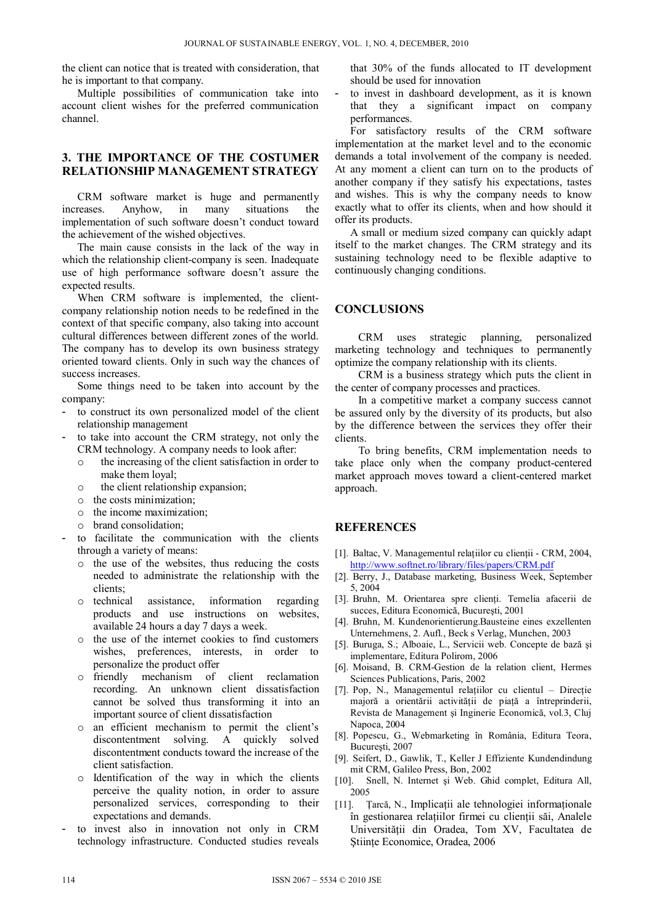the client can notice that is treated with consideration, that he is important to that company.

Multiple possibilities of communication take into account client wishes for the preferred communication channel.

#### **3. THE IMPORTANCE OF THE COSTUMER RELATIONSHIP MANAGEMENT STRATEGY**

CRM software market is huge and permanently increases. Anyhow, in many situations the implementation of such software doesn't conduct toward the achievement of the wished objectives.

The main cause consists in the lack of the way in which the relationship client-company is seen. Inadequate use of high performance software doesn't assure the expected results.

When CRM software is implemented, the clientcompany relationship notion needs to be redefined in the context of that specific company, also taking into account cultural differences between different zones of the world. The company has to develop its own business strategy oriented toward clients. Only in such way the chances of success increases.

Some things need to be taken into account by the company:

- to construct its own personalized model of the client relationship management
- to take into account the CRM strategy, not only the CRM technology. A company needs to look after:
	- o the increasing of the client satisfaction in order to make them loyal;
	- o the client relationship expansion;
	- o the costs minimization;
	- o the income maximization;
	- o brand consolidation;
- to facilitate the communication with the clients through a variety of means:
	- o the use of the websites, thus reducing the costs needed to administrate the relationship with the clients;
	- o technical assistance, information regarding products and use instructions on websites, available 24 hours a day 7 days a week.
	- o the use of the internet cookies to find customers wishes, preferences, interests, in order to personalize the product offer
	- o friendly mechanism of client reclamation recording. An unknown client dissatisfaction cannot be solved thus transforming it into an important source of client dissatisfaction
	- o an efficient mechanism to permit the client's discontentment solving. A quickly solved discontentment conducts toward the increase of the client satisfaction.
	- o Identification of the way in which the clients perceive the quality notion, in order to assure personalized services, corresponding to their expectations and demands.
- to invest also in innovation not only in CRM technology infrastructure. Conducted studies reveals

that 30% of the funds allocated to IT development should be used for innovation

to invest in dashboard development, as it is known that they a significant impact on company performances.

For satisfactory results of the CRM software implementation at the market level and to the economic demands a total involvement of the company is needed. At any moment a client can turn on to the products of another company if they satisfy his expectations, tastes and wishes. This is why the company needs to know exactly what to offer its clients, when and how should it offer its products.

A small or medium sized company can quickly adapt itself to the market changes. The CRM strategy and its sustaining technology need to be flexible adaptive to continuously changing conditions.

## **CONCLUSIONS**

CRM uses strategic planning, personalized marketing technology and techniques to permanently optimize the company relationship with its clients.

CRM is a business strategy which puts the client in the center of company processes and practices.

In a competitive market a company success cannot be assured only by the diversity of its products, but also by the difference between the services they offer their clients.

To bring benefits, CRM implementation needs to take place only when the company product-centered market approach moves toward a client-centered market approach.

## **REFERENCES**

- [1]. Baltac, V. Managementul relațiilor cu clienții CRM, 2004, http://www.softnet.ro/library/files/papers/CRM.pdf
- [2]. Berry, J., Database marketing, Business Week, September 5, 2004
- [3]. Bruhn, M. Orientarea spre clienţi. Temelia afacerii de succes, Editura Economică, Bucureşti, 2001
- [4]. Bruhn, M. Kundenorientierung.Bausteine eines exzellenten Unternehmens, 2. Aufl., Beck s Verlag, Munchen, 2003
- [5]. Buruga, S.; Alboaie, L., Servicii web. Concepte de bază şi implementare, Editura Polirom, 2006
- [6]. Moisand, B. CRM-Gestion de la relation client, Hermes Sciences Publications, Paris, 2002
- [7]. Pop, N., Managementul relaţiilor cu clientul Direcţie majoră a orientării activităţii de piaţă a întreprinderii, Revista de Management şi Inginerie Economică, vol.3, Cluj Napoca, 2004
- [8]. Popescu, G., Webmarketing în România, Editura Teora, Bucureşti, 2007
- [9]. Seifert, D., Gawlik, T., Keller J Effiziente Kundendindung mit CRM, Galileo Press, Bon, 2002
- [10]. Snell, N. Internet şi Web. Ghid complet, Editura All, 2005
- [11]. Ţarcă, N., Implicaţii ale tehnologiei informaţionale în gestionarea relaţiilor firmei cu clienţii săi, Analele Universităţii din Oradea, Tom XV, Facultatea de Ştiinţe Economice, Oradea, 2006